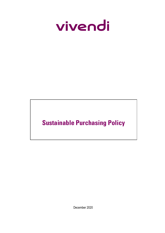

# **Sustainable Purchasing Policy**

December 2020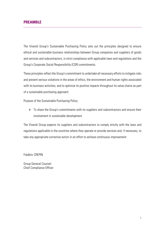## **PREAMBLE**

The Vivendi Group's Sustainable Purchasing Policy sets out the principles designed to ensure ethical and sustainable business relationships between Group companies and suppliers of goods and services and subcontractors, in strict compliance with applicable laws and regulations and the Group's Corporate Social Responsibility (CSR) commitments.

These principles reflect the Group's commitment to undertake all necessary efforts to mitigate risks and prevent serious violations in the areas of ethics, the environment and human rights associated with its business activities, and to optimize its positive impacts throughout its value chains as part of a sustainable purchasing approach.

Purpose of the Sustainable Purchasing Policy:

 $\triangleright$  To share the Group's commitments with its suppliers and subcontractors and ensure their involvement in sustainable development.

The Vivendi Group expects its suppliers and subcontractors to comply strictly with the laws and regulations applicable in the countries where they operate or provide services and, if necessary, to take any appropriate corrective action in an effort to achieve continuous improvement.

Frédéric CREPIN

Group General Counsel Chief Compliance Officer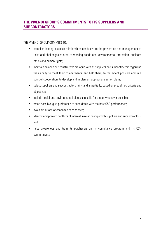# **THE VIVENDI GROUP'S COMMITMENTS TO ITS SUPPLIERS AND SUBCONTRACTORS**

THE VIVENDI GROUP COMMITS TO:

- establish lasting business relationships conducive to the prevention and management of risks and challenges related to working conditions, environmental protection, business ethics and human rights;
- maintain an open and constructive dialogue with its suppliers and subcontractors regarding their ability to meet their commitments, and help them, to the extent possible and in a spirit of cooperation, to develop and implement appropriate action plans;
- select suppliers and subcontractors fairly and impartially, based on predefined criteria and objectives;
- **EXEDENT** include social and environmental clauses in calls for tender whenever possible;
- when possible, give preference to candidates with the best CSR performance;
- avoid situations of economic dependence;
- identify and prevent conflicts of interest in relationships with suppliers and subcontractors; and
- raise awareness and train its purchasers on its compliance program and its CSR commitments.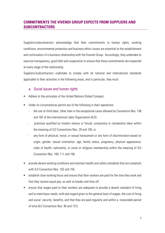## **COMMITMENTS THE VIVENDI GROUP EXPECTS FROM SUPPLIERS AND SUBCONTRACTORS**

Suppliers/subcontractors acknowledge that their commitments to human rights, working conditions, environmental protection and business ethics issues are essential to the establishment and continuation of a business relationship with the Vivendi Group. Accordingly, they undertake to exercise transparency, good faith and cooperation to ensure that these commitments are respected at every stage of the relationship.

Suppliers/subcontractors undertake to comply with all national and international standards applicable to their activities in the following areas, and in particular, they must:

#### *a. Social issues and human rights*

- Adhere to the principles of the United Nations Global Compact.
- Under no circumstances permit any of the following in their operations:
	- the use of child labor, other than in the exceptional cases allowed by Convention Nos. 138 and 182 of the International Labor Organization (ILO);
	- practices qualified as modern slavery or forced, compulsory or clandestine labor within the meaning of ILO Conventions Nos. 29 and 105; or
	- any form of physical, moral, or sexual harassment or any form of discrimination based on origin, gender, sexual orientation, age, family status, pregnancy, physical appearance, state of health, nationality, or union or religious membership within the meaning of ILO Convention Nos. 100, 111 and 156.
- provide decent working conditions and maintain health and safety standards that are compliant with ILO Convention Nos. 102 and 155.
- establish clear working hours and ensure that their workers are paid for the time they work and that they receive equal pay, as well as breaks and time off.
- ensure that wages paid to their workers are adequate to provide a decent standard of living and to meet basic needs, with due regard given to the general level of wages, the cost of living and social security benefits, and that they are paid regularly and within a reasonable period of time (ILO Convention Nos. 95 and 131).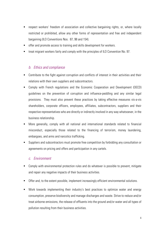- respect workers' freedom of association and collective bargaining rights, or, where locally restricted or prohibited, allow any other forms of representation and free and independent bargaining (ILO Conventions Nos. 87, 98 and 154).
- offer and promote access to training and skills development for workers.
- treat migrant workers fairly and comply with the principles of ILO Convention No. 97.

## *b. Ethics and compliance*

- **Contribute to the fight against corruption and conflicts of interest in their activities and their** relations with their own suppliers and subcontractors.
- Comply with French regulations and the Economic Cooperation and Development (OECD) guidelines on the prevention of corruption and influence-peddling and any similar legal provisions. They must also prevent these practices by taking effective measures vis-a-vis shareholders, corporate officers, employees, affiliates, subcontractors, suppliers and their respective representatives who are directly or indirectly involved in any way whatsoever, in the business relationship.
- More generally, comply with all national and international standards related to financial misconduct, especially those related to the financing of terrorism, money laundering, embargoes, and arms and narcotics trafficking.
- Suppliers and subcontractors must promote free competition by forbidding any consultation or agreements on pricing and offers and participation in any cartels.

#### *c. Environment*

- Comply with environmental protection rules and do whatever is possible to prevent, mitigate and repair any negative impacts of their business activities.
- Offer and, to the extent possible, implement increasingly efficient environmental solutions.
- Work towards implementing their industry's best practices to optimize water and energy consumption, preserve biodiversity and manage discharges and waste. Strive to reduce and/or treat airborne emissions, the release of effluents into the ground and/or water and all types of pollution resulting from their business activities.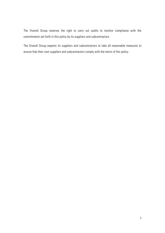The Vivendi Group reserves the right to carry out audits to monitor compliance with the commitments set forth in this policy by its suppliers and subcontractors.

The Vivendi Group expects its suppliers and subcontractors to take all reasonable measures to ensure that their own suppliers and subcontractors comply with the terms of this policy.